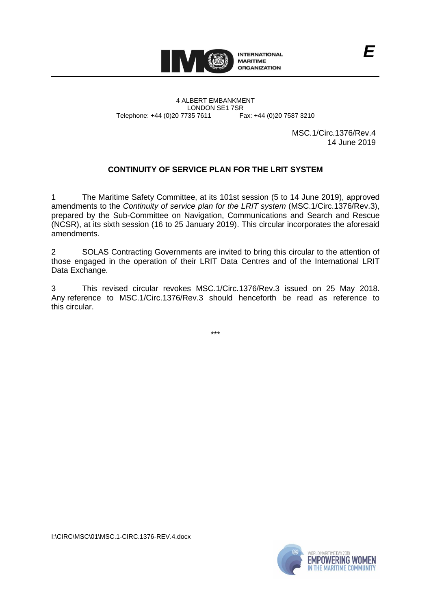

4 ALBERT EMBANKMENT Telephone: +44 (0)20 7735 7611

LONDON SE1 7SR<br>735 7611 Fax: +44 (0)20 7587 3210

MSC.1/Circ.1376/Rev.4 14 June 2019

# **CONTINUITY OF SERVICE PLAN FOR THE LRIT SYSTEM**

1 The Maritime Safety Committee, at its 101st session (5 to 14 June 2019), approved amendments to the *Continuity of service plan for the LRIT system* (MSC.1/Circ.1376/Rev.3), prepared by the Sub-Committee on Navigation, Communications and Search and Rescue (NCSR), at its sixth session (16 to 25 January 2019). This circular incorporates the aforesaid amendments.

2 SOLAS Contracting Governments are invited to bring this circular to the attention of those engaged in the operation of their LRIT Data Centres and of the International LRIT Data Exchange.

3 This revised circular revokes MSC.1/Circ.1376/Rev.3 issued on 25 May 2018. Any reference to MSC.1/Circ.1376/Rev.3 should henceforth be read as reference to this circular.

\*\*\*

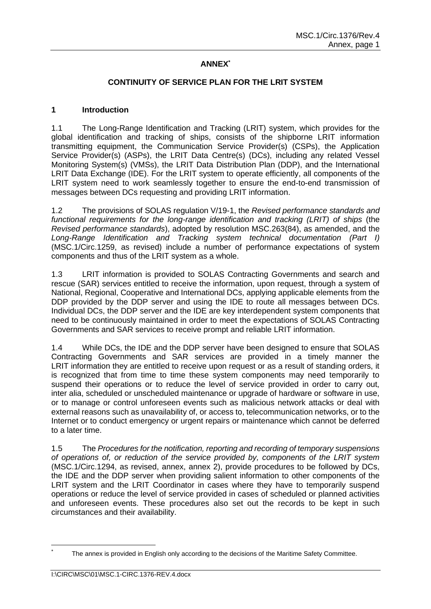# **ANNEX\***

### **CONTINUITY OF SERVICE PLAN FOR THE LRIT SYSTEM**

### **1 Introduction**

1.1 The Long-Range Identification and Tracking (LRIT) system, which provides for the global identification and tracking of ships, consists of the shipborne LRIT information transmitting equipment, the Communication Service Provider(s) (CSPs), the Application Service Provider(s) (ASPs), the LRIT Data Centre(s) (DCs), including any related Vessel Monitoring System(s) (VMSs), the LRIT Data Distribution Plan (DDP), and the International LRIT Data Exchange (IDE). For the LRIT system to operate efficiently, all components of the LRIT system need to work seamlessly together to ensure the end-to-end transmission of messages between DCs requesting and providing LRIT information.

1.2 The provisions of SOLAS regulation V/19-1, the *Revised performance standards and functional requirements for the long-range identification and tracking (LRIT) of ships* (the *Revised performance standards*), adopted by resolution MSC.263(84), as amended, and the *Long-Range Identification and Tracking system technical documentation (Part I)* (MSC.1/Circ.1259, as revised) include a number of performance expectations of system components and thus of the LRIT system as a whole.

1.3 LRIT information is provided to SOLAS Contracting Governments and search and rescue (SAR) services entitled to receive the information, upon request, through a system of National, Regional, Cooperative and International DCs, applying applicable elements from the DDP provided by the DDP server and using the IDE to route all messages between DCs. Individual DCs, the DDP server and the IDE are key interdependent system components that need to be continuously maintained in order to meet the expectations of SOLAS Contracting Governments and SAR services to receive prompt and reliable LRIT information.

1.4 While DCs, the IDE and the DDP server have been designed to ensure that SOLAS Contracting Governments and SAR services are provided in a timely manner the LRIT information they are entitled to receive upon request or as a result of standing orders, it is recognized that from time to time these system components may need temporarily to suspend their operations or to reduce the level of service provided in order to carry out, inter alia, scheduled or unscheduled maintenance or upgrade of hardware or software in use, or to manage or control unforeseen events such as malicious network attacks or deal with external reasons such as unavailability of, or access to, telecommunication networks, or to the Internet or to conduct emergency or urgent repairs or maintenance which cannot be deferred to a later time.

1.5 The *Procedures for the notification, reporting and recording of temporary suspensions of operations of, or reduction of the service provided by, components of the LRIT system* (MSC.1/Circ.1294, as revised, annex, annex 2), provide procedures to be followed by DCs, the IDE and the DDP server when providing salient information to other components of the LRIT system and the LRIT Coordinator in cases where they have to temporarily suspend operations or reduce the level of service provided in cases of scheduled or planned activities and unforeseen events. These procedures also set out the records to be kept in such circumstances and their availability.

The annex is provided in English only according to the decisions of the Maritime Safety Committee.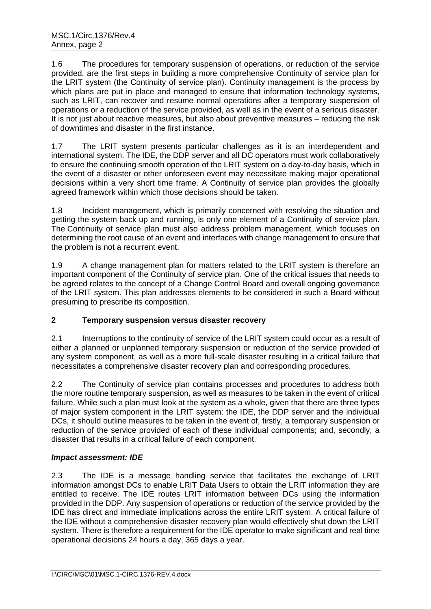1.6 The procedures for temporary suspension of operations, or reduction of the service provided, are the first steps in building a more comprehensive Continuity of service plan for the LRIT system (the Continuity of service plan). Continuity management is the process by which plans are put in place and managed to ensure that information technology systems, such as LRIT, can recover and resume normal operations after a temporary suspension of operations or a reduction of the service provided, as well as in the event of a serious disaster. It is not just about reactive measures, but also about preventive measures – reducing the risk of downtimes and disaster in the first instance.

1.7 The LRIT system presents particular challenges as it is an interdependent and international system. The IDE, the DDP server and all DC operators must work collaboratively to ensure the continuing smooth operation of the LRIT system on a day-to-day basis, which in the event of a disaster or other unforeseen event may necessitate making major operational decisions within a very short time frame. A Continuity of service plan provides the globally agreed framework within which those decisions should be taken.

1.8 Incident management, which is primarily concerned with resolving the situation and getting the system back up and running, is only one element of a Continuity of service plan. The Continuity of service plan must also address problem management, which focuses on determining the root cause of an event and interfaces with change management to ensure that the problem is not a recurrent event.

1.9 A change management plan for matters related to the LRIT system is therefore an important component of the Continuity of service plan. One of the critical issues that needs to be agreed relates to the concept of a Change Control Board and overall ongoing governance of the LRIT system. This plan addresses elements to be considered in such a Board without presuming to prescribe its composition.

# **2 Temporary suspension versus disaster recovery**

2.1 Interruptions to the continuity of service of the LRIT system could occur as a result of either a planned or unplanned temporary suspension or reduction of the service provided of any system component, as well as a more full-scale disaster resulting in a critical failure that necessitates a comprehensive disaster recovery plan and corresponding procedures.

2.2 The Continuity of service plan contains processes and procedures to address both the more routine temporary suspension, as well as measures to be taken in the event of critical failure. While such a plan must look at the system as a whole, given that there are three types of major system component in the LRIT system: the IDE, the DDP server and the individual DCs, it should outline measures to be taken in the event of, firstly, a temporary suspension or reduction of the service provided of each of these individual components; and, secondly, a disaster that results in a critical failure of each component.

# *Impact assessment: IDE*

2.3 The IDE is a message handling service that facilitates the exchange of LRIT information amongst DCs to enable LRIT Data Users to obtain the LRIT information they are entitled to receive. The IDE routes LRIT information between DCs using the information provided in the DDP. Any suspension of operations or reduction of the service provided by the IDE has direct and immediate implications across the entire LRIT system. A critical failure of the IDE without a comprehensive disaster recovery plan would effectively shut down the LRIT system. There is therefore a requirement for the IDE operator to make significant and real time operational decisions 24 hours a day, 365 days a year.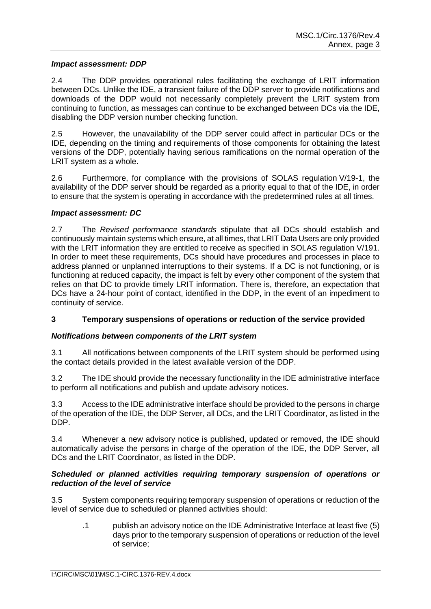#### *Impact assessment: DDP*

2.4 The DDP provides operational rules facilitating the exchange of LRIT information between DCs. Unlike the IDE, a transient failure of the DDP server to provide notifications and downloads of the DDP would not necessarily completely prevent the LRIT system from continuing to function, as messages can continue to be exchanged between DCs via the IDE, disabling the DDP version number checking function.

2.5 However, the unavailability of the DDP server could affect in particular DCs or the IDE, depending on the timing and requirements of those components for obtaining the latest versions of the DDP, potentially having serious ramifications on the normal operation of the LRIT system as a whole.

2.6 Furthermore, for compliance with the provisions of SOLAS regulation V/19-1, the availability of the DDP server should be regarded as a priority equal to that of the IDE, in order to ensure that the system is operating in accordance with the predetermined rules at all times.

### *Impact assessment: DC*

2.7 The *Revised performance standards* stipulate that all DCs should establish and continuously maintain systems which ensure, at all times, that LRIT Data Users are only provided with the LRIT information they are entitled to receive as specified in SOLAS regulation V/191. In order to meet these requirements, DCs should have procedures and processes in place to address planned or unplanned interruptions to their systems. If a DC is not functioning, or is functioning at reduced capacity, the impact is felt by every other component of the system that relies on that DC to provide timely LRIT information. There is, therefore, an expectation that DCs have a 24-hour point of contact, identified in the DDP, in the event of an impediment to continuity of service.

# **3 Temporary suspensions of operations or reduction of the service provided**

# *Notifications between components of the LRIT system*

3.1 All notifications between components of the LRIT system should be performed using the contact details provided in the latest available version of the DDP.

3.2 The IDE should provide the necessary functionality in the IDE administrative interface to perform all notifications and publish and update advisory notices.

3.3 Access to the IDE administrative interface should be provided to the persons in charge of the operation of the IDE, the DDP Server, all DCs, and the LRIT Coordinator, as listed in the DDP.

3.4 Whenever a new advisory notice is published, updated or removed, the IDE should automatically advise the persons in charge of the operation of the IDE, the DDP Server, all DCs and the LRIT Coordinator, as listed in the DDP.

# *Scheduled or planned activities requiring temporary suspension of operations or reduction of the level of service*

3.5 System components requiring temporary suspension of operations or reduction of the level of service due to scheduled or planned activities should:

.1 publish an advisory notice on the IDE Administrative Interface at least five (5) days prior to the temporary suspension of operations or reduction of the level of service;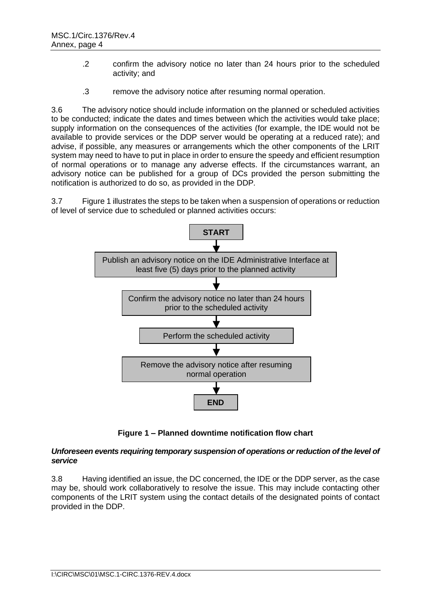- .2 confirm the advisory notice no later than 24 hours prior to the scheduled activity; and
- .3 remove the advisory notice after resuming normal operation.

3.6 The advisory notice should include information on the planned or scheduled activities to be conducted; indicate the dates and times between which the activities would take place; supply information on the consequences of the activities (for example, the IDE would not be available to provide services or the DDP server would be operating at a reduced rate); and advise, if possible, any measures or arrangements which the other components of the LRIT system may need to have to put in place in order to ensure the speedy and efficient resumption of normal operations or to manage any adverse effects. If the circumstances warrant, an advisory notice can be published for a group of DCs provided the person submitting the notification is authorized to do so, as provided in the DDP*.*

3.7 Figure 1 illustrates the steps to be taken when a suspension of operations or reduction of level of service due to scheduled or planned activities occurs:



**Figure 1 – Planned downtime notification flow chart**

# *Unforeseen events requiring temporary suspension of operations or reduction of the level of service*

3.8 Having identified an issue, the DC concerned, the IDE or the DDP server, as the case may be, should work collaboratively to resolve the issue. This may include contacting other components of the LRIT system using the contact details of the designated points of contact provided in the DDP.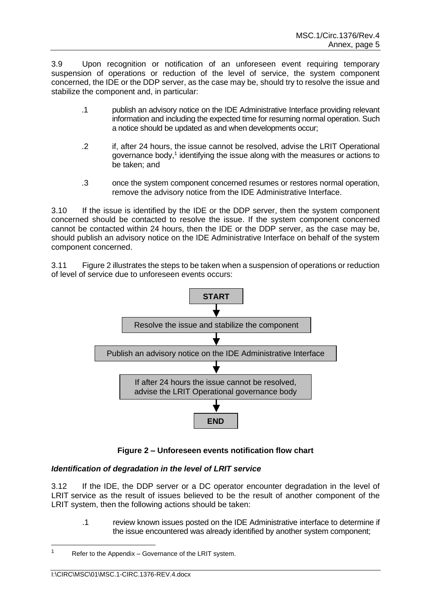3.9 Upon recognition or notification of an unforeseen event requiring temporary suspension of operations or reduction of the level of service, the system component concerned, the IDE or the DDP server, as the case may be, should try to resolve the issue and stabilize the component and, in particular:

- .1 publish an advisory notice on the IDE Administrative Interface providing relevant information and including the expected time for resuming normal operation. Such a notice should be updated as and when developments occur;
- .2 if, after 24 hours, the issue cannot be resolved, advise the LRIT Operational governance body,<sup>1</sup> identifying the issue along with the measures or actions to be taken; and
- .3 once the system component concerned resumes or restores normal operation, remove the advisory notice from the IDE Administrative Interface.

3.10 If the issue is identified by the IDE or the DDP server, then the system component concerned should be contacted to resolve the issue. If the system component concerned cannot be contacted within 24 hours, then the IDE or the DDP server, as the case may be, should publish an advisory notice on the IDE Administrative Interface on behalf of the system component concerned.

3.11 Figure 2 illustrates the steps to be taken when a suspension of operations or reduction of level of service due to unforeseen events occurs:



**Figure 2 – Unforeseen events notification flow chart**

# *Identification of degradation in the level of LRIT service*

3.12 If the IDE, the DDP server or a DC operator encounter degradation in the level of LRIT service as the result of issues believed to be the result of another component of the LRIT system, then the following actions should be taken:

.1 review known issues posted on the IDE Administrative interface to determine if the issue encountered was already identified by another system component;

<sup>&</sup>lt;sup>1</sup> Refer to the Appendix – Governance of the LRIT system.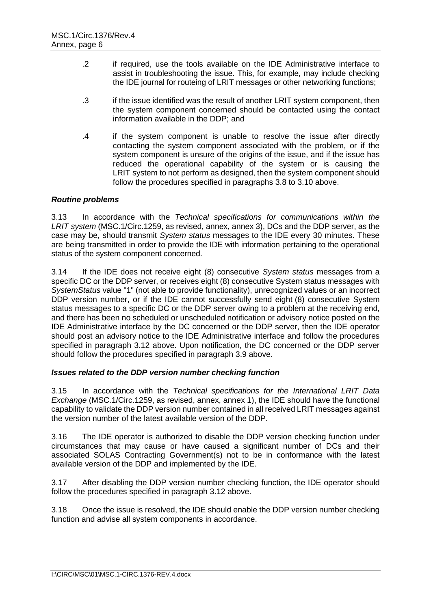- .2 if required, use the tools available on the IDE Administrative interface to assist in troubleshooting the issue. This, for example, may include checking the IDE journal for routeing of LRIT messages or other networking functions;
- .3 if the issue identified was the result of another LRIT system component, then the system component concerned should be contacted using the contact information available in the DDP; and
- .4 if the system component is unable to resolve the issue after directly contacting the system component associated with the problem, or if the system component is unsure of the origins of the issue, and if the issue has reduced the operational capability of the system or is causing the LRIT system to not perform as designed, then the system component should follow the procedures specified in paragraphs 3.8 to 3.10 above.

# *Routine problems*

3.13 In accordance with the *Technical specifications for communications within the LRIT system* (MSC.1/Circ.1259, as revised, annex, annex 3), DCs and the DDP server, as the case may be, should transmit *System status* messages to the IDE every 30 minutes. These are being transmitted in order to provide the IDE with information pertaining to the operational status of the system component concerned.

3.14 If the IDE does not receive eight (8) consecutive *System status* messages from a specific DC or the DDP server, or receives eight (8) consecutive System status messages with *SystemStatus* value "1" (not able to provide functionality), unrecognized values or an incorrect DDP version number, or if the IDE cannot successfully send eight (8) consecutive System status messages to a specific DC or the DDP server owing to a problem at the receiving end, and there has been no scheduled or unscheduled notification or advisory notice posted on the IDE Administrative interface by the DC concerned or the DDP server, then the IDE operator should post an advisory notice to the IDE Administrative interface and follow the procedures specified in paragraph 3.12 above. Upon notification, the DC concerned or the DDP server should follow the procedures specified in paragraph 3.9 above.

# *Issues related to the DDP version number checking function*

3.15 In accordance with the *Technical specifications for the International LRIT Data Exchange* (MSC.1/Circ.1259, as revised, annex, annex 1), the IDE should have the functional capability to validate the DDP version number contained in all received LRIT messages against the version number of the latest available version of the DDP.

3.16 The IDE operator is authorized to disable the DDP version checking function under circumstances that may cause or have caused a significant number of DCs and their associated SOLAS Contracting Government(s) not to be in conformance with the latest available version of the DDP and implemented by the IDE.

3.17 After disabling the DDP version number checking function, the IDE operator should follow the procedures specified in paragraph 3.12 above.

3.18 Once the issue is resolved, the IDE should enable the DDP version number checking function and advise all system components in accordance.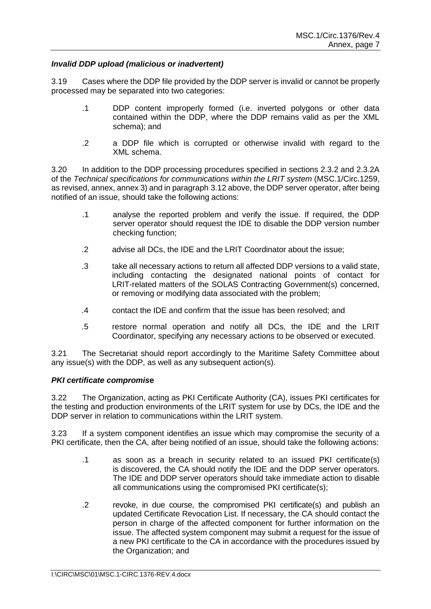# *Invalid DDP upload (malicious or inadvertent)*

3.19 Cases where the DDP file provided by the DDP server is invalid or cannot be properly processed may be separated into two categories:

- .1 DDP content improperly formed (i.e. inverted polygons or other data contained within the DDP, where the DDP remains valid as per the XML schema); and
- .2 a DDP file which is corrupted or otherwise invalid with regard to the XML schema.

3.20 In addition to the DDP processing procedures specified in sections 2.3.2 and 2.3.2A of the *Technical specifications for communications within the LRIT system* (MSC.1/Circ.1259, as revised, annex, annex 3) and in paragraph 3.12 above, the DDP server operator, after being notified of an issue, should take the following actions:

- .1 analyse the reported problem and verify the issue. If required, the DDP server operator should request the IDE to disable the DDP version number checking function;
- .2 advise all DCs, the IDE and the LRIT Coordinator about the issue;
- .3 take all necessary actions to return all affected DDP versions to a valid state, including contacting the designated national points of contact for LRIT-related matters of the SOLAS Contracting Government(s) concerned, or removing or modifying data associated with the problem;
- .4 contact the IDE and confirm that the issue has been resolved; and
- .5 restore normal operation and notify all DCs, the IDE and the LRIT Coordinator, specifying any necessary actions to be observed or executed.

3.21 The Secretariat should report accordingly to the Maritime Safety Committee about any issue(s) with the DDP, as well as any subsequent action(s).

# *PKI certificate compromis***e**

3.22 The Organization, acting as PKI Certificate Authority (CA), issues PKI certificates for the testing and production environments of the LRIT system for use by DCs, the IDE and the DDP server in relation to communications within the LRIT system.

3.23 If a system component identifies an issue which may compromise the security of a PKI certificate, then the CA, after being notified of an issue, should take the following actions:

- .1 as soon as a breach in security related to an issued PKI certificate(s) is discovered, the CA should notify the IDE and the DDP server operators. The IDE and DDP server operators should take immediate action to disable all communications using the compromised PKI certificate(s);
- .2 revoke, in due course, the compromised PKI certificate(s) and publish an updated Certificate Revocation List. If necessary, the CA should contact the person in charge of the affected component for further information on the issue. The affected system component may submit a request for the issue of a new PKI certificate to the CA in accordance with the procedures issued by the Organization; and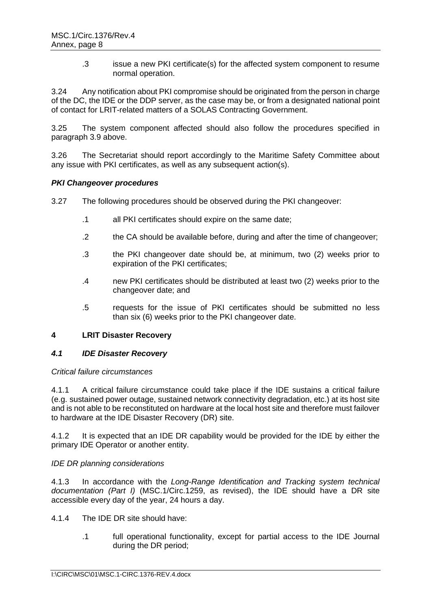.3 issue a new PKI certificate(s) for the affected system component to resume normal operation.

3.24 Any notification about PKI compromise should be originated from the person in charge of the DC, the IDE or the DDP server, as the case may be, or from a designated national point of contact for LRIT-related matters of a SOLAS Contracting Government.

3.25 The system component affected should also follow the procedures specified in paragraph 3.9 above.

3.26 The Secretariat should report accordingly to the Maritime Safety Committee about any issue with PKI certificates, as well as any subsequent action(s).

### *PKI Changeover procedures*

3.27 The following procedures should be observed during the PKI changeover:

- .1 all PKI certificates should expire on the same date;
- .2 the CA should be available before, during and after the time of changeover;
- .3 the PKI changeover date should be, at minimum, two (2) weeks prior to expiration of the PKI certificates;
- .4 new PKI certificates should be distributed at least two (2) weeks prior to the changeover date; and
- .5 requests for the issue of PKI certificates should be submitted no less than six (6) weeks prior to the PKI changeover date.

#### **4 LRIT Disaster Recovery**

#### *4.1 IDE Disaster Recovery*

#### *Critical failure circumstances*

4.1.1 A critical failure circumstance could take place if the IDE sustains a critical failure (e.g. sustained power outage, sustained network connectivity degradation, etc.) at its host site and is not able to be reconstituted on hardware at the local host site and therefore must failover to hardware at the IDE Disaster Recovery (DR) site.

4.1.2 It is expected that an IDE DR capability would be provided for the IDE by either the primary IDE Operator or another entity.

#### *IDE DR planning considerations*

4.1.3 In accordance with the *Long-Range Identification and Tracking system technical documentation (Part I)* (MSC.1/Circ.1259, as revised), the IDE should have a DR site accessible every day of the year, 24 hours a day.

- 4.1.4 The IDE DR site should have:
	- .1 full operational functionality, except for partial access to the IDE Journal during the DR period;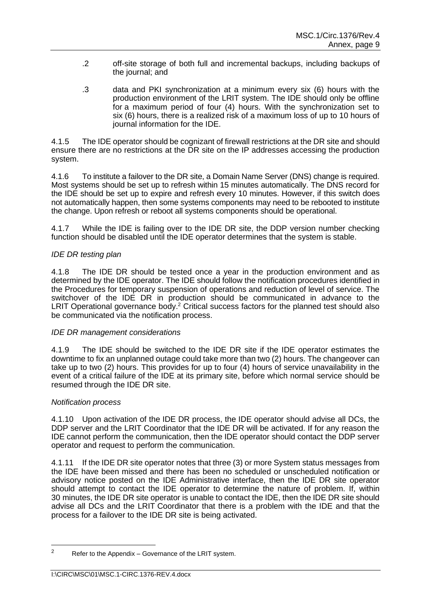- .2 off-site storage of both full and incremental backups, including backups of the journal; and
- .3 data and PKI synchronization at a minimum every six (6) hours with the production environment of the LRIT system. The IDE should only be offline for a maximum period of four (4) hours. With the synchronization set to six (6) hours, there is a realized risk of a maximum loss of up to 10 hours of journal information for the IDE.

4.1.5 The IDE operator should be cognizant of firewall restrictions at the DR site and should ensure there are no restrictions at the DR site on the IP addresses accessing the production system.

4.1.6 To institute a failover to the DR site, a Domain Name Server (DNS) change is required. Most systems should be set up to refresh within 15 minutes automatically. The DNS record for the IDE should be set up to expire and refresh every 10 minutes. However, if this switch does not automatically happen, then some systems components may need to be rebooted to institute the change. Upon refresh or reboot all systems components should be operational.

4.1.7 While the IDE is failing over to the IDE DR site, the DDP version number checking function should be disabled until the IDE operator determines that the system is stable.

### *IDE DR testing plan*

4.1.8 The IDE DR should be tested once a year in the production environment and as determined by the IDE operator. The IDE should follow the notification procedures identified in the Procedures for temporary suspension of operations and reduction of level of service. The switchover of the IDE DR in production should be communicated in advance to the LRIT Operational governance body.<sup>2</sup> Critical success factors for the planned test should also be communicated via the notification process.

#### *IDE DR management considerations*

4.1.9 The IDE should be switched to the IDE DR site if the IDE operator estimates the downtime to fix an unplanned outage could take more than two (2) hours. The changeover can take up to two (2) hours. This provides for up to four (4) hours of service unavailability in the event of a critical failure of the IDE at its primary site, before which normal service should be resumed through the IDE DR site.

#### *Notification process*

4.1.10 Upon activation of the IDE DR process, the IDE operator should advise all DCs, the DDP server and the LRIT Coordinator that the IDE DR will be activated. If for any reason the IDE cannot perform the communication, then the IDE operator should contact the DDP server operator and request to perform the communication.

4.1.11 If the IDE DR site operator notes that three (3) or more System status messages from the IDE have been missed and there has been no scheduled or unscheduled notification or advisory notice posted on the IDE Administrative interface, then the IDE DR site operator should attempt to contact the IDE operator to determine the nature of problem. If, within 30 minutes, the IDE DR site operator is unable to contact the IDE, then the IDE DR site should advise all DCs and the LRIT Coordinator that there is a problem with the IDE and that the process for a failover to the IDE DR site is being activated.

 $2^2$  Refer to the Appendix – Governance of the LRIT system.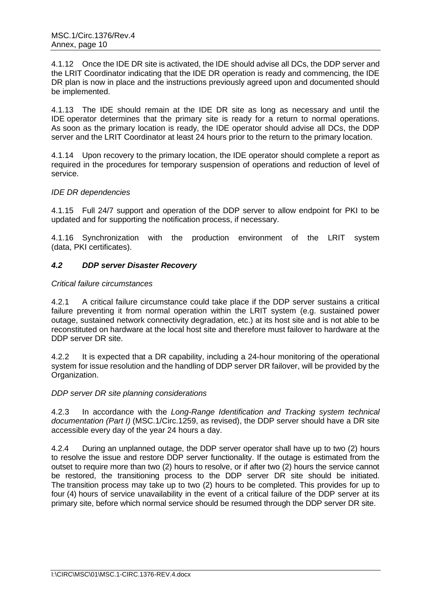4.1.12 Once the IDE DR site is activated, the IDE should advise all DCs, the DDP server and the LRIT Coordinator indicating that the IDE DR operation is ready and commencing, the IDE DR plan is now in place and the instructions previously agreed upon and documented should be implemented.

4.1.13 The IDE should remain at the IDE DR site as long as necessary and until the IDE operator determines that the primary site is ready for a return to normal operations. As soon as the primary location is ready, the IDE operator should advise all DCs, the DDP server and the LRIT Coordinator at least 24 hours prior to the return to the primary location.

4.1.14 Upon recovery to the primary location, the IDE operator should complete a report as required in the procedures for temporary suspension of operations and reduction of level of service.

# *IDE DR dependencies*

4.1.15 Full 24/7 support and operation of the DDP server to allow endpoint for PKI to be updated and for supporting the notification process, if necessary.

4.1.16 Synchronization with the production environment of the LRIT system (data, PKI certificates).

# *4.2 DDP server Disaster Recovery*

# *Critical failure circumstances*

4.2.1 A critical failure circumstance could take place if the DDP server sustains a critical failure preventing it from normal operation within the LRIT system (e.g. sustained power outage, sustained network connectivity degradation, etc.) at its host site and is not able to be reconstituted on hardware at the local host site and therefore must failover to hardware at the DDP server DR site.

4.2.2 It is expected that a DR capability, including a 24-hour monitoring of the operational system for issue resolution and the handling of DDP server DR failover, will be provided by the Organization.

# *DDP server DR site planning considerations*

4.2.3 In accordance with the *Long-Range Identification and Tracking system technical documentation (Part I)* (MSC.1/Circ.1259, as revised), the DDP server should have a DR site accessible every day of the year 24 hours a day.

4.2.4 During an unplanned outage, the DDP server operator shall have up to two (2) hours to resolve the issue and restore DDP server functionality. If the outage is estimated from the outset to require more than two (2) hours to resolve, or if after two (2) hours the service cannot be restored, the transitioning process to the DDP server DR site should be initiated. The transition process may take up to two (2) hours to be completed. This provides for up to four (4) hours of service unavailability in the event of a critical failure of the DDP server at its primary site, before which normal service should be resumed through the DDP server DR site.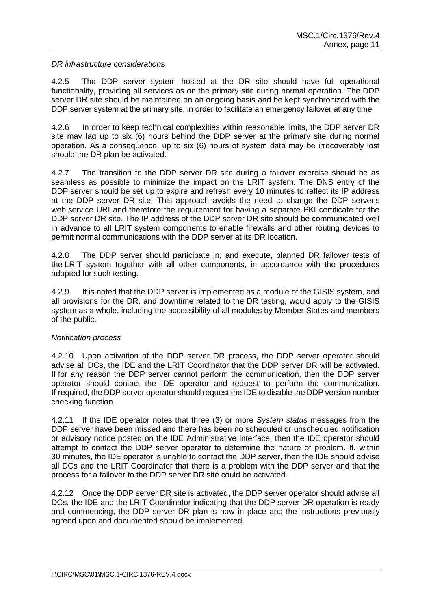### *DR infrastructure considerations*

4.2.5 The DDP server system hosted at the DR site should have full operational functionality, providing all services as on the primary site during normal operation. The DDP server DR site should be maintained on an ongoing basis and be kept synchronized with the DDP server system at the primary site, in order to facilitate an emergency failover at any time.

4.2.6 In order to keep technical complexities within reasonable limits, the DDP server DR site may lag up to six (6) hours behind the DDP server at the primary site during normal operation. As a consequence, up to six (6) hours of system data may be irrecoverably lost should the DR plan be activated.

4.2.7 The transition to the DDP server DR site during a failover exercise should be as seamless as possible to minimize the impact on the LRIT system. The DNS entry of the DDP server should be set up to expire and refresh every 10 minutes to reflect its IP address at the DDP server DR site. This approach avoids the need to change the DDP server's web service URI and therefore the requirement for having a separate PKI certificate for the DDP server DR site. The IP address of the DDP server DR site should be communicated well in advance to all LRIT system components to enable firewalls and other routing devices to permit normal communications with the DDP server at its DR location.

4.2.8 The DDP server should participate in, and execute, planned DR failover tests of the LRIT system together with all other components, in accordance with the procedures adopted for such testing.

4.2.9 It is noted that the DDP server is implemented as a module of the GISIS system, and all provisions for the DR, and downtime related to the DR testing, would apply to the GISIS system as a whole, including the accessibility of all modules by Member States and members of the public.

# *Notification process*

4.2.10 Upon activation of the DDP server DR process, the DDP server operator should advise all DCs, the IDE and the LRIT Coordinator that the DDP server DR will be activated. If for any reason the DDP server cannot perform the communication, then the DDP server operator should contact the IDE operator and request to perform the communication. If required, the DDP server operator should request the IDE to disable the DDP version number checking function.

4.2.11 If the IDE operator notes that three (3) or more *System status* messages from the DDP server have been missed and there has been no scheduled or unscheduled notification or advisory notice posted on the IDE Administrative interface, then the IDE operator should attempt to contact the DDP server operator to determine the nature of problem. If, within 30 minutes, the IDE operator is unable to contact the DDP server, then the IDE should advise all DCs and the LRIT Coordinator that there is a problem with the DDP server and that the process for a failover to the DDP server DR site could be activated.

4.2.12 Once the DDP server DR site is activated, the DDP server operator should advise all DCs, the IDE and the LRIT Coordinator indicating that the DDP server DR operation is ready and commencing, the DDP server DR plan is now in place and the instructions previously agreed upon and documented should be implemented.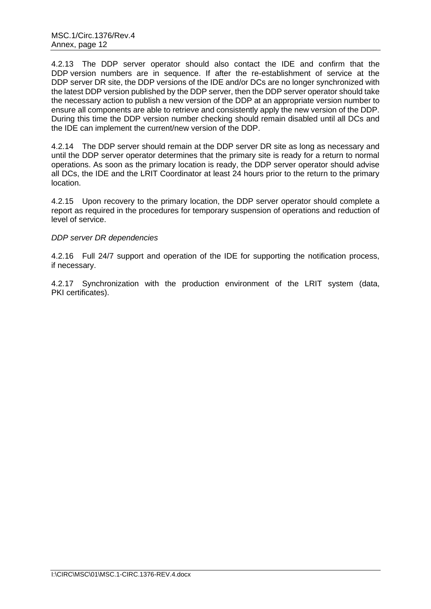4.2.13 The DDP server operator should also contact the IDE and confirm that the DDP version numbers are in sequence. If after the re-establishment of service at the DDP server DR site, the DDP versions of the IDE and/or DCs are no longer synchronized with the latest DDP version published by the DDP server, then the DDP server operator should take the necessary action to publish a new version of the DDP at an appropriate version number to ensure all components are able to retrieve and consistently apply the new version of the DDP. During this time the DDP version number checking should remain disabled until all DCs and the IDE can implement the current/new version of the DDP.

4.2.14 The DDP server should remain at the DDP server DR site as long as necessary and until the DDP server operator determines that the primary site is ready for a return to normal operations. As soon as the primary location is ready, the DDP server operator should advise all DCs, the IDE and the LRIT Coordinator at least 24 hours prior to the return to the primary location.

4.2.15 Upon recovery to the primary location, the DDP server operator should complete a report as required in the procedures for temporary suspension of operations and reduction of level of service.

# *DDP server DR dependencies*

4.2.16 Full 24/7 support and operation of the IDE for supporting the notification process, if necessary.

4.2.17 Synchronization with the production environment of the LRIT system (data, PKI certificates).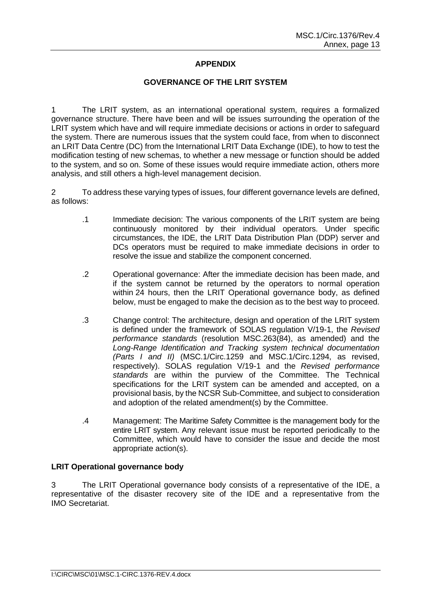# **APPENDIX**

### **GOVERNANCE OF THE LRIT SYSTEM**

1 The LRIT system, as an international operational system, requires a formalized governance structure. There have been and will be issues surrounding the operation of the LRIT system which have and will require immediate decisions or actions in order to safeguard the system. There are numerous issues that the system could face, from when to disconnect an LRIT Data Centre (DC) from the International LRIT Data Exchange (IDE), to how to test the modification testing of new schemas, to whether a new message or function should be added to the system, and so on. Some of these issues would require immediate action, others more analysis, and still others a high-level management decision.

2 To address these varying types of issues, four different governance levels are defined, as follows:

- .1 Immediate decision: The various components of the LRIT system are being continuously monitored by their individual operators. Under specific circumstances, the IDE, the LRIT Data Distribution Plan (DDP) server and DCs operators must be required to make immediate decisions in order to resolve the issue and stabilize the component concerned.
- .2 Operational governance: After the immediate decision has been made, and if the system cannot be returned by the operators to normal operation within 24 hours, then the LRIT Operational governance body, as defined below, must be engaged to make the decision as to the best way to proceed.
- .3 Change control: The architecture, design and operation of the LRIT system is defined under the framework of SOLAS regulation V/19-1, the *Revised performance standards* (resolution MSC.263(84), as amended) and the *Long-Range Identification and Tracking system technical documentation (Parts I and II)* (MSC.1/Circ.1259 and MSC.1/Circ.1294, as revised, respectively). SOLAS regulation V/19-1 and the *Revised performance standards* are within the purview of the Committee. The Technical specifications for the LRIT system can be amended and accepted, on a provisional basis, by the NCSR Sub-Committee, and subject to consideration and adoption of the related amendment(s) by the Committee.
- .4 Management: The Maritime Safety Committee is the management body for the entire LRIT system. Any relevant issue must be reported periodically to the Committee, which would have to consider the issue and decide the most appropriate action(s).

### **LRIT Operational governance body**

3 The LRIT Operational governance body consists of a representative of the IDE, a representative of the disaster recovery site of the IDE and a representative from the IMO Secretariat.